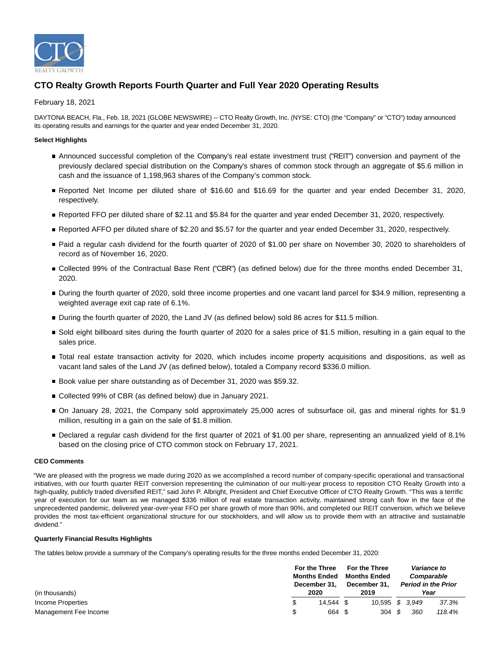

# **CTO Realty Growth Reports Fourth Quarter and Full Year 2020 Operating Results**

# February 18, 2021

DAYTONA BEACH, Fla., Feb. 18, 2021 (GLOBE NEWSWIRE) -- CTO Realty Growth, Inc. (NYSE: CTO) (the "Company" or "CTO") today announced its operating results and earnings for the quarter and year ended December 31, 2020.

# **Select Highlights**

- Announced successful completion of the Company's real estate investment trust ("REIT") conversion and payment of the previously declared special distribution on the Company's shares of common stock through an aggregate of \$5.6 million in cash and the issuance of 1,198,963 shares of the Company's common stock.
- Reported Net Income per diluted share of \$16.60 and \$16.69 for the quarter and year ended December 31, 2020, respectively.
- Reported FFO per diluted share of \$2.11 and \$5.84 for the quarter and year ended December 31, 2020, respectively.
- Reported AFFO per diluted share of \$2.20 and \$5.57 for the quarter and year ended December 31, 2020, respectively.
- Paid a regular cash dividend for the fourth quarter of 2020 of \$1.00 per share on November 30, 2020 to shareholders of record as of November 16, 2020.
- Collected 99% of the Contractual Base Rent ("CBR") (as defined below) due for the three months ended December 31, 2020.
- During the fourth quarter of 2020, sold three income properties and one vacant land parcel for \$34.9 million, representing a weighted average exit cap rate of 6.1%.
- During the fourth quarter of 2020, the Land JV (as defined below) sold 86 acres for \$11.5 million.
- Sold eight billboard sites during the fourth quarter of 2020 for a sales price of \$1.5 million, resulting in a gain equal to the sales price.
- Total real estate transaction activity for 2020, which includes income property acquisitions and dispositions, as well as vacant land sales of the Land JV (as defined below), totaled a Company record \$336.0 million.
- Book value per share outstanding as of December 31, 2020 was \$59.32.
- Collected 99% of CBR (as defined below) due in January 2021.
- On January 28, 2021, the Company sold approximately 25,000 acres of subsurface oil, gas and mineral rights for \$1.9 million, resulting in a gain on the sale of \$1.8 million.
- Declared a regular cash dividend for the first quarter of 2021 of \$1.00 per share, representing an annualized yield of 8.1% based on the closing price of CTO common stock on February 17, 2021.

# **CEO Comments**

"We are pleased with the progress we made during 2020 as we accomplished a record number of company-specific operational and transactional initiatives, with our fourth quarter REIT conversion representing the culmination of our multi-year process to reposition CTO Realty Growth into a high-quality, publicly traded diversified REIT," said John P. Albright, President and Chief Executive Officer of CTO Realty Growth. "This was a terrific year of execution for our team as we managed \$336 million of real estate transaction activity, maintained strong cash flow in the face of the unprecedented pandemic, delivered year-over-year FFO per share growth of more than 90%, and completed our REIT conversion, which we believe provides the most tax-efficient organizational structure for our stockholders, and will allow us to provide them with an attractive and sustainable dividend."

# **Quarterly Financial Results Highlights**

The tables below provide a summary of the Company's operating results for the three months ended December 31, 2020:

|                       |     | For the Three                              | <b>For the Three</b> |  | <b>Variance to</b> |                            |            |
|-----------------------|-----|--------------------------------------------|----------------------|--|--------------------|----------------------------|------------|
|                       |     | <b>Months Ended</b><br><b>Months Ended</b> |                      |  |                    |                            | Comparable |
|                       |     | December 31.                               | December 31.         |  |                    | <b>Period in the Prior</b> |            |
| (in thousands)        |     | 2020                                       | 2019                 |  |                    | Year                       |            |
| Income Properties     |     | 14.544 \$                                  | 10,595 \$ 3,949      |  |                    | 37.3%                      |            |
| Management Fee Income | \$. | 664                                        | 304S                 |  | 360                | 118.4%                     |            |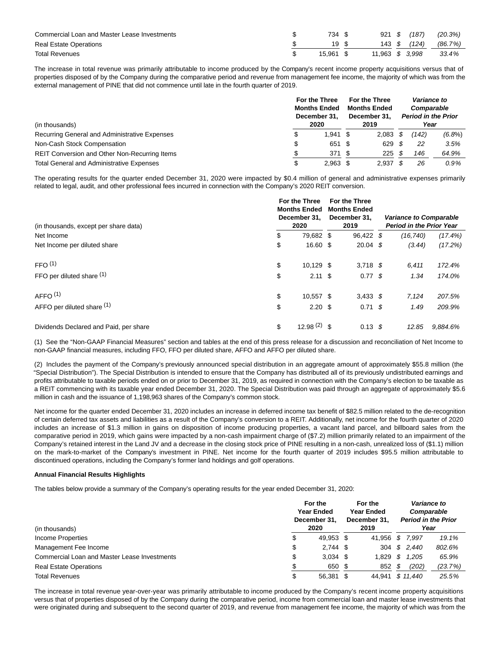| Commercial Loan and Master Lease Investments | 734 \$    |                 | 921 \$ (187) | (20.3%)              |
|----------------------------------------------|-----------|-----------------|--------------|----------------------|
| <b>Real Estate Operations</b>                | 19 \$     |                 |              | 143 \$ (124) (86.7%) |
| <b>Total Revenues</b>                        | 15.961 \$ | 11.963 \$ 3.998 |              | 33.4%                |

The increase in total revenue was primarily attributable to income produced by the Company's recent income property acquisitions versus that of properties disposed of by the Company during the comparative period and revenue from management fee income, the majority of which was from the external management of PINE that did not commence until late in the fourth quarter of 2019.

| (in thousands)                                       | For the Three<br><b>Months Ended</b><br>December 31.<br>2020 |      | <b>For the Three</b><br><b>Months Ended</b><br>December 31.<br>2019 |  | Variance to<br>Comparable<br><b>Period in the Prior</b><br>Year |           |
|------------------------------------------------------|--------------------------------------------------------------|------|---------------------------------------------------------------------|--|-----------------------------------------------------------------|-----------|
| Recurring General and Administrative Expenses        | $1,941$ \$                                                   |      | $2,083$ \$                                                          |  | '142)                                                           | $(6.8\%)$ |
| Non-Cash Stock Compensation                          | 651 \$                                                       |      | 629S                                                                |  | 22                                                              | 3.5%      |
| <b>REIT Conversion and Other Non-Recurring Items</b> | 371                                                          | - \$ | $225$ \$                                                            |  | 146                                                             | 64.9%     |
| <b>Total General and Administrative Expenses</b>     | $2,963$ \$                                                   |      | 2.937                                                               |  | 26                                                              | $0.9\%$   |

The operating results for the quarter ended December 31, 2020 were impacted by \$0.4 million of general and administrative expenses primarily related to legal, audit, and other professional fees incurred in connection with the Company's 2020 REIT conversion.

| (in thousands, except per share data)  | For the Three<br><b>Months Ended</b><br>December 31,<br>2020 | For the Three<br><b>Months Ended</b><br>December 31,<br>2019 | <b>Variance to Comparable</b><br><b>Period in the Prior Year</b> |            |  |  |
|----------------------------------------|--------------------------------------------------------------|--------------------------------------------------------------|------------------------------------------------------------------|------------|--|--|
| Net Income                             | \$<br>79,682 \$                                              | 96,422 \$                                                    | (16, 740)                                                        | $(17.4\%)$ |  |  |
| Net Income per diluted share           | \$<br>16.60 \$                                               | $20.04$ \$                                                   | (3.44)                                                           | (17.2%)    |  |  |
| FFO <sup>(1)</sup>                     | \$<br>$10,129$ \$                                            | $3,718$ \$                                                   | 6,411                                                            | 172.4%     |  |  |
| FFO per diluted share $(1)$            | \$<br>$2.11 \text{ }$ \$                                     | $0.77$ \$                                                    | 1.34                                                             | 174.0%     |  |  |
| AFFO <sup>(1)</sup>                    | \$<br>10.557 \$                                              | $3,433$ \$                                                   | 7,124                                                            | 207.5%     |  |  |
| AFFO per diluted share (1)             | \$<br>2.20 <sup>5</sup>                                      | $0.71 \text{ }$ \$                                           | 1.49                                                             | 209.9%     |  |  |
| Dividends Declared and Paid, per share | \$<br>$12.98(2)$ \$                                          | $0.13 \text{ }$ \$                                           | 12.85                                                            | 9.884.6%   |  |  |

(1) See the "Non-GAAP Financial Measures" section and tables at the end of this press release for a discussion and reconciliation of Net Income to non-GAAP financial measures, including FFO, FFO per diluted share, AFFO and AFFO per diluted share.

(2) Includes the payment of the Company's previously announced special distribution in an aggregate amount of approximately \$55.8 million (the "Special Distribution"). The Special Distribution is intended to ensure that the Company has distributed all of its previously undistributed earnings and profits attributable to taxable periods ended on or prior to December 31, 2019, as required in connection with the Company's election to be taxable as a REIT commencing with its taxable year ended December 31, 2020. The Special Distribution was paid through an aggregate of approximately \$5.6 million in cash and the issuance of 1,198,963 shares of the Company's common stock.

Net income for the quarter ended December 31, 2020 includes an increase in deferred income tax benefit of \$82.5 million related to the de-recognition of certain deferred tax assets and liabilities as a result of the Company's conversion to a REIT. Additionally, net income for the fourth quarter of 2020 includes an increase of \$1.3 million in gains on disposition of income producing properties, a vacant land parcel, and billboard sales from the comparative period in 2019, which gains were impacted by a non-cash impairment charge of (\$7.2) million primarily related to an impairment of the Company's retained interest in the Land JV and a decrease in the closing stock price of PINE resulting in a non-cash, unrealized loss of (\$1.1) million on the mark-to-market of the Company's investment in PINE. Net income for the fourth quarter of 2019 includes \$95.5 million attributable to discontinued operations, including the Company's former land holdings and golf operations.

# **Annual Financial Results Highlights**

The tables below provide a summary of the Company's operating results for the year ended December 31, 2020:

| (in thousands)                               |    | For the<br>Year Ended<br>December 31.<br>2020 | For the<br><b>Year Ended</b><br>December 31.<br>2019 |    | Variance to<br>Comparable<br><b>Period in the Prior</b><br>Year |         |  |
|----------------------------------------------|----|-----------------------------------------------|------------------------------------------------------|----|-----------------------------------------------------------------|---------|--|
| Income Properties                            | J  | 49.953 \$                                     | 41.956                                               | -S | 7.997                                                           | 19.1%   |  |
| Management Fee Income                        | \$ | $2.744$ \$                                    |                                                      |    | 304 \$ 2,440                                                    | 802.6%  |  |
| Commercial Loan and Master Lease Investments | J  | $3,034$ \$                                    | 1.829                                                | S  | 1,205                                                           | 65.9%   |  |
| <b>Real Estate Operations</b>                |    | 650 \$                                        | 852                                                  | S  | (202)                                                           | (23.7%) |  |
| <b>Total Revenues</b>                        |    | 56.381                                        | 44.941                                               |    | \$11,440                                                        | 25.5%   |  |

The increase in total revenue year-over-year was primarily attributable to income produced by the Company's recent income property acquisitions versus that of properties disposed of by the Company during the comparative period, income from commercial loan and master lease investments that were originated during and subsequent to the second quarter of 2019, and revenue from management fee income, the majority of which was from the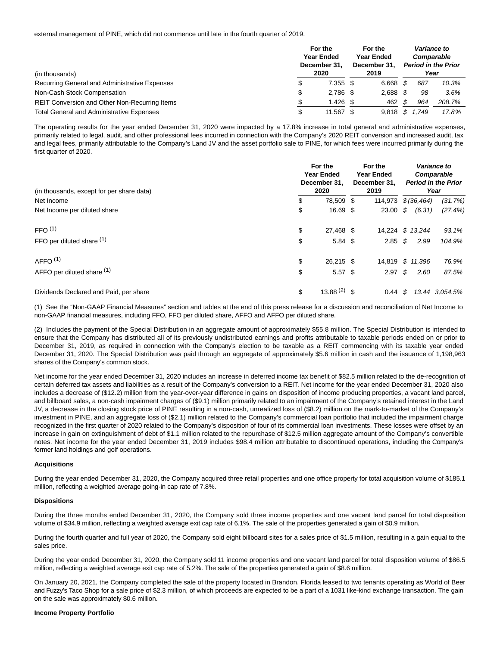external management of PINE, which did not commence until late in the fourth quarter of 2019.

| (in thousands)                                   |    | For the<br><b>Year Ended</b><br>December 31.<br>2020 | For the<br><b>Year Ended</b><br>December 31.<br>2019 | Variance to<br>Comparable<br>Year | <b>Period in the Prior</b> |
|--------------------------------------------------|----|------------------------------------------------------|------------------------------------------------------|-----------------------------------|----------------------------|
| Recurring General and Administrative Expenses    | \$ | $7.355$ \$                                           | 6.668                                                | 687                               | 10.3%                      |
| Non-Cash Stock Compensation                      | \$ | $2.786$ \$                                           | 2,688                                                | 98                                | 3.6%                       |
| REIT Conversion and Other Non-Recurring Items    | \$ | $1,426$ \$                                           | 462                                                  | 964                               | 208.7%                     |
| <b>Total General and Administrative Expenses</b> | S  | 11.567                                               | 9.818                                                | .749                              | 17.8%                      |

The operating results for the year ended December 31, 2020 were impacted by a 17.8% increase in total general and administrative expenses, primarily related to legal, audit, and other professional fees incurred in connection with the Company's 2020 REIT conversion and increased audit, tax and legal fees, primarily attributable to the Company's Land JV and the asset portfolio sale to PINE, for which fees were incurred primarily during the first quarter of 2020.

| (in thousands, except for per share data) | For the<br><b>Year Ended</b><br>December 31,<br>2020 | For the<br><b>Year Ended</b><br>December 31,<br>2019 |    | Variance to<br>Comparable<br><b>Period in the Prior</b><br>Year |                |
|-------------------------------------------|------------------------------------------------------|------------------------------------------------------|----|-----------------------------------------------------------------|----------------|
| Net Income                                | \$<br>78.509 \$                                      | 114,973 \$ (36,464)                                  |    |                                                                 | (31.7%)        |
| Net Income per diluted share              | \$<br>16.69 \$                                       | 23.00                                                | \$ | (6.31)                                                          | (27.4%)        |
| FFO <sup>(1)</sup>                        | \$<br>27,468 \$                                      | 14,224 \$ 13,244                                     |    |                                                                 | 93.1%          |
| FFO per diluted share (1)                 | \$<br>$5.84$ \$                                      | $2.85$ \$                                            |    | 2.99                                                            | 104.9%         |
| AFFO <sup>(1)</sup>                       | \$<br>26,215 \$                                      | 14.819 \$ 11.396                                     |    |                                                                 | 76.9%          |
| AFFO per diluted share (1)                | \$<br>$5.57$ \$                                      | $2.97 \text{ }$ \$                                   |    | 2.60                                                            | 87.5%          |
| Dividends Declared and Paid, per share    | \$<br>13.88 $(2)$ \$                                 | $0.44 \text{ } $$                                    |    |                                                                 | 13.44 3.054.5% |

(1) See the "Non-GAAP Financial Measures" section and tables at the end of this press release for a discussion and reconciliation of Net Income to non-GAAP financial measures, including FFO, FFO per diluted share, AFFO and AFFO per diluted share.

(2) Includes the payment of the Special Distribution in an aggregate amount of approximately \$55.8 million. The Special Distribution is intended to ensure that the Company has distributed all of its previously undistributed earnings and profits attributable to taxable periods ended on or prior to December 31, 2019, as required in connection with the Company's election to be taxable as a REIT commencing with its taxable year ended December 31, 2020. The Special Distribution was paid through an aggregate of approximately \$5.6 million in cash and the issuance of 1,198,963 shares of the Company's common stock.

Net income for the year ended December 31, 2020 includes an increase in deferred income tax benefit of \$82.5 million related to the de-recognition of certain deferred tax assets and liabilities as a result of the Company's conversion to a REIT. Net income for the year ended December 31, 2020 also includes a decrease of (\$12.2) million from the year-over-year difference in gains on disposition of income producing properties, a vacant land parcel, and billboard sales, a non-cash impairment charges of (\$9.1) million primarily related to an impairment of the Company's retained interest in the Land JV, a decrease in the closing stock price of PINE resulting in a non-cash, unrealized loss of (\$8.2) million on the mark-to-market of the Company's investment in PINE, and an aggregate loss of (\$2.1) million related to the Company's commercial loan portfolio that included the impairment charge recognized in the first quarter of 2020 related to the Company's disposition of four of its commercial loan investments. These losses were offset by an increase in gain on extinguishment of debt of \$1.1 million related to the repurchase of \$12.5 million aggregate amount of the Company's convertible notes. Net income for the year ended December 31, 2019 includes \$98.4 million attributable to discontinued operations, including the Company's former land holdings and golf operations.

## **Acquisitions**

During the year ended December 31, 2020, the Company acquired three retail properties and one office property for total acquisition volume of \$185.1 million, reflecting a weighted average going-in cap rate of 7.8%.

## **Dispositions**

During the three months ended December 31, 2020, the Company sold three income properties and one vacant land parcel for total disposition volume of \$34.9 million, reflecting a weighted average exit cap rate of 6.1%. The sale of the properties generated a gain of \$0.9 million.

During the fourth quarter and full year of 2020, the Company sold eight billboard sites for a sales price of \$1.5 million, resulting in a gain equal to the sales price.

During the year ended December 31, 2020, the Company sold 11 income properties and one vacant land parcel for total disposition volume of \$86.5 million, reflecting a weighted average exit cap rate of 5.2%. The sale of the properties generated a gain of \$8.6 million.

On January 20, 2021, the Company completed the sale of the property located in Brandon, Florida leased to two tenants operating as World of Beer and Fuzzy's Taco Shop for a sale price of \$2.3 million, of which proceeds are expected to be a part of a 1031 like-kind exchange transaction. The gain on the sale was approximately \$0.6 million.

## **Income Property Portfolio**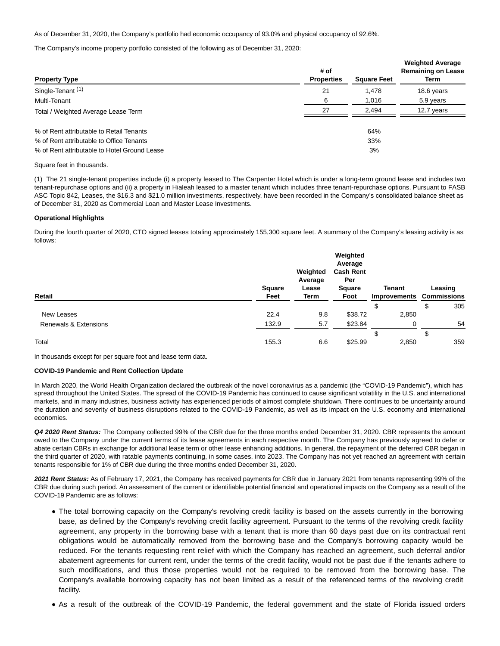As of December 31, 2020, the Company's portfolio had economic occupancy of 93.0% and physical occupancy of 92.6%.

The Company's income property portfolio consisted of the following as of December 31, 2020:

| <b>Property Type</b>                         | # of<br><b>Properties</b> | <b>Square Feet</b> | <b>Weighted Average</b><br><b>Remaining on Lease</b><br>Term |
|----------------------------------------------|---------------------------|--------------------|--------------------------------------------------------------|
| Single-Tenant <sup>(1)</sup>                 | 21                        | 1.478              | 18.6 years                                                   |
| Multi-Tenant                                 | 6                         | 1.016              | 5.9 years                                                    |
| Total / Weighted Average Lease Term          | 27                        | 2.494              | 12.7 years                                                   |
| % of Rent attributable to Retail Tenants     |                           | 64%                |                                                              |
| % of Rent attributable to Office Tenants     |                           | 33%                |                                                              |
| % of Rent attributable to Hotel Ground Lease |                           | 3%                 |                                                              |

## Square feet in thousands.

(1) The 21 single-tenant properties include (i) a property leased to The Carpenter Hotel which is under a long-term ground lease and includes two tenant-repurchase options and (ii) a property in Hialeah leased to a master tenant which includes three tenant-repurchase options. Pursuant to FASB ASC Topic 842, Leases, the \$16.3 and \$21.0 million investments, respectively, have been recorded in the Company's consolidated balance sheet as of December 31, 2020 as Commercial Loan and Master Lease Investments.

## **Operational Highlights**

During the fourth quarter of 2020, CTO signed leases totaling approximately 155,300 square feet. A summary of the Company's leasing activity is as follows:

| Retail                | Square<br>Feet | Weighted<br>Average<br>Lease<br>Term | Weighted<br>Average<br><b>Cash Rent</b><br>Per<br>Square<br>Foot | <b>Tenant</b><br><b>Improvements Commissions</b> |        | Leasing |
|-----------------------|----------------|--------------------------------------|------------------------------------------------------------------|--------------------------------------------------|--------|---------|
|                       |                |                                      |                                                                  | æ                                                | \$     | 305     |
| New Leases            | 22.4           | 9.8                                  | \$38.72                                                          | 2,850                                            |        |         |
| Renewals & Extensions | 132.9          | 5.7                                  | \$23.84                                                          | 0                                                |        | 54      |
|                       |                |                                      |                                                                  | S                                                | c<br>J |         |
| Total                 | 155.3          | 6.6                                  | \$25.99                                                          | 2,850                                            |        | 359     |

In thousands except for per square foot and lease term data.

## **COVID-19 Pandemic and Rent Collection Update**

In March 2020, the World Health Organization declared the outbreak of the novel coronavirus as a pandemic (the "COVID-19 Pandemic"), which has spread throughout the United States. The spread of the COVID-19 Pandemic has continued to cause significant volatility in the U.S. and international markets, and in many industries, business activity has experienced periods of almost complete shutdown. There continues to be uncertainty around the duration and severity of business disruptions related to the COVID-19 Pandemic, as well as its impact on the U.S. economy and international economies.

**Q4 2020 Rent Status:** The Company collected 99% of the CBR due for the three months ended December 31, 2020. CBR represents the amount owed to the Company under the current terms of its lease agreements in each respective month. The Company has previously agreed to defer or abate certain CBRs in exchange for additional lease term or other lease enhancing additions. In general, the repayment of the deferred CBR began in the third quarter of 2020, with ratable payments continuing, in some cases, into 2023. The Company has not yet reached an agreement with certain tenants responsible for 1% of CBR due during the three months ended December 31, 2020.

**2021 Rent Status:** As of February 17, 2021, the Company has received payments for CBR due in January 2021 from tenants representing 99% of the CBR due during such period. An assessment of the current or identifiable potential financial and operational impacts on the Company as a result of the COVID-19 Pandemic are as follows:

- The total borrowing capacity on the Company's revolving credit facility is based on the assets currently in the borrowing base, as defined by the Company's revolving credit facility agreement. Pursuant to the terms of the revolving credit facility agreement, any property in the borrowing base with a tenant that is more than 60 days past due on its contractual rent obligations would be automatically removed from the borrowing base and the Company's borrowing capacity would be reduced. For the tenants requesting rent relief with which the Company has reached an agreement, such deferral and/or abatement agreements for current rent, under the terms of the credit facility, would not be past due if the tenants adhere to such modifications, and thus those properties would not be required to be removed from the borrowing base. The Company's available borrowing capacity has not been limited as a result of the referenced terms of the revolving credit facility.
- As a result of the outbreak of the COVID-19 Pandemic, the federal government and the state of Florida issued orders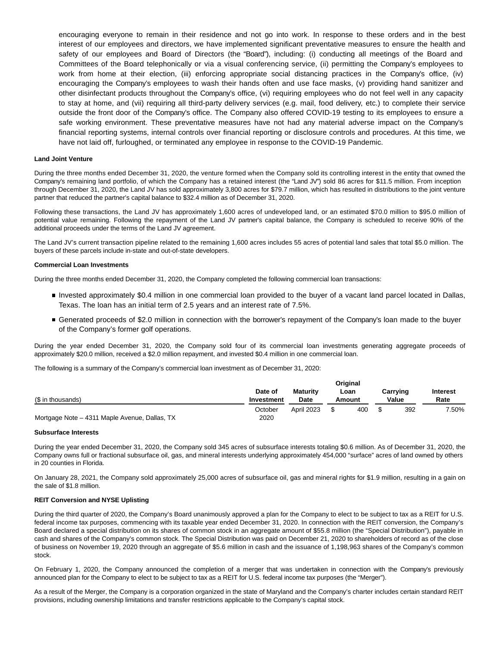encouraging everyone to remain in their residence and not go into work. In response to these orders and in the best interest of our employees and directors, we have implemented significant preventative measures to ensure the health and safety of our employees and Board of Directors (the "Board"), including: (i) conducting all meetings of the Board and Committees of the Board telephonically or via a visual conferencing service, (ii) permitting the Company's employees to work from home at their election, (iii) enforcing appropriate social distancing practices in the Company's office, (iv) encouraging the Company's employees to wash their hands often and use face masks, (v) providing hand sanitizer and other disinfectant products throughout the Company's office, (vi) requiring employees who do not feel well in any capacity to stay at home, and (vii) requiring all third-party delivery services (e.g. mail, food delivery, etc.) to complete their service outside the front door of the Company's office. The Company also offered COVID-19 testing to its employees to ensure a safe working environment. These preventative measures have not had any material adverse impact on the Company's financial reporting systems, internal controls over financial reporting or disclosure controls and procedures. At this time, we have not laid off, furloughed, or terminated any employee in response to the COVID-19 Pandemic.

## **Land Joint Venture**

During the three months ended December 31, 2020, the venture formed when the Company sold its controlling interest in the entity that owned the Company's remaining land portfolio, of which the Company has a retained interest (the "Land JV") sold 86 acres for \$11.5 million. From inception through December 31, 2020, the Land JV has sold approximately 3,800 acres for \$79.7 million, which has resulted in distributions to the joint venture partner that reduced the partner's capital balance to \$32.4 million as of December 31, 2020.

Following these transactions, the Land JV has approximately 1,600 acres of undeveloped land, or an estimated \$70.0 million to \$95.0 million of potential value remaining. Following the repayment of the Land JV partner's capital balance, the Company is scheduled to receive 90% of the additional proceeds under the terms of the Land JV agreement.

The Land JV's current transaction pipeline related to the remaining 1,600 acres includes 55 acres of potential land sales that total \$5.0 million. The buyers of these parcels include in-state and out-of-state developers.

## **Commercial Loan Investments**

During the three months ended December 31, 2020, the Company completed the following commercial loan transactions:

- Invested approximately \$0.4 million in one commercial loan provided to the buyer of a vacant land parcel located in Dallas, Texas. The loan has an initial term of 2.5 years and an interest rate of 7.5%.
- Generated proceeds of \$2.0 million in connection with the borrower's repayment of the Company's loan made to the buyer of the Company's former golf operations.

During the year ended December 31, 2020, the Company sold four of its commercial loan investments generating aggregate proceeds of approximately \$20.0 million, received a \$2.0 million repayment, and invested \$0.4 million in one commercial loan.

The following is a summary of the Company's commercial loan investment as of December 31, 2020:

|                                               |                       |                                | <b>Original</b> |                   |                         |
|-----------------------------------------------|-----------------------|--------------------------------|-----------------|-------------------|-------------------------|
| (\$ in thousands)                             | Date of<br>Investment | <b>Maturity</b><br><b>Date</b> | Loan<br>Amount  | Carrying<br>Value | <b>Interest</b><br>Rate |
|                                               | October               | <b>April 2023</b>              | 400             | 392               | $.50\%$                 |
| Mortgage Note – 4311 Maple Avenue, Dallas, TX | 2020                  |                                |                 |                   |                         |

#### **Subsurface Interests**

During the year ended December 31, 2020, the Company sold 345 acres of subsurface interests totaling \$0.6 million. As of December 31, 2020, the Company owns full or fractional subsurface oil, gas, and mineral interests underlying approximately 454,000 "surface" acres of land owned by others in 20 counties in Florida.

On January 28, 2021, the Company sold approximately 25,000 acres of subsurface oil, gas and mineral rights for \$1.9 million, resulting in a gain on the sale of \$1.8 million.

## **REIT Conversion and NYSE Uplisting**

During the third quarter of 2020, the Company's Board unanimously approved a plan for the Company to elect to be subject to tax as a REIT for U.S. federal income tax purposes, commencing with its taxable year ended December 31, 2020. In connection with the REIT conversion, the Company's Board declared a special distribution on its shares of common stock in an aggregate amount of \$55.8 million (the "Special Distribution"), payable in cash and shares of the Company's common stock. The Special Distribution was paid on December 21, 2020 to shareholders of record as of the close of business on November 19, 2020 through an aggregate of \$5.6 million in cash and the issuance of 1,198,963 shares of the Company's common stock.

On February 1, 2020, the Company announced the completion of a merger that was undertaken in connection with the Company's previously announced plan for the Company to elect to be subject to tax as a REIT for U.S. federal income tax purposes (the "Merger").

As a result of the Merger, the Company is a corporation organized in the state of Maryland and the Company's charter includes certain standard REIT provisions, including ownership limitations and transfer restrictions applicable to the Company's capital stock.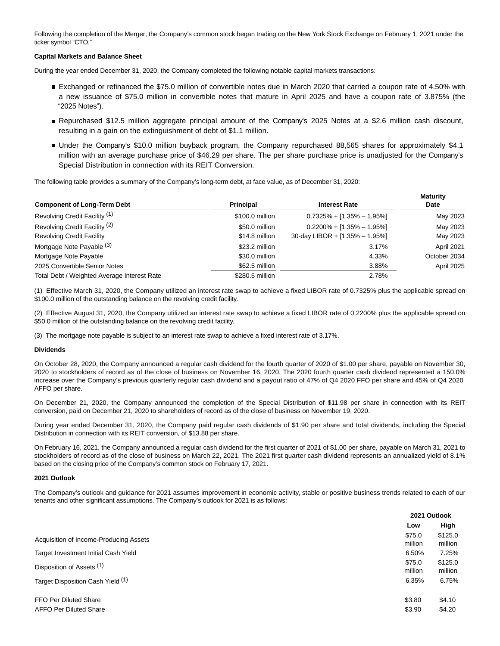Following the completion of the Merger, the Company's common stock began trading on the New York Stock Exchange on February 1, 2021 under the ticker symbol "CTO."

# **Capital Markets and Balance Sheet**

During the year ended December 31, 2020, the Company completed the following notable capital markets transactions:

- Exchanged or refinanced the \$75.0 million of convertible notes due in March 2020 that carried a coupon rate of 4.50% with a new issuance of \$75.0 million in convertible notes that mature in April 2025 and have a coupon rate of 3.875% (the "2025 Notes").
- Repurchased \$12.5 million aggregate principal amount of the Company's 2025 Notes at a \$2.6 million cash discount, resulting in a gain on the extinguishment of debt of \$1.1 million.
- Under the Company's \$10.0 million buyback program, the Company repurchased 88,565 shares for approximately \$4.1 million with an average purchase price of \$46.29 per share. The per share purchase price is unadjusted for the Company's Special Distribution in connection with its REIT Conversion.

The following table provides a summary of the Company's long-term debt, at face value, as of December 31, 2020:

| <b>Component of Long-Term Debt</b>          | <b>Principal</b> | <b>Interest Rate</b>           | <b>Maturity</b><br>Date |
|---------------------------------------------|------------------|--------------------------------|-------------------------|
| Revolving Credit Facility (1)               | \$100.0 million  | $0.7325\% + [1.35\% - 1.95\%]$ | May 2023                |
| Revolving Credit Facility <sup>(2)</sup>    | \$50.0 million   | $0.2200\% + [1.35\% - 1.95\%]$ | May 2023                |
| <b>Revolving Credit Facility</b>            | \$14.8 million   | 30-day LIBOR + [1.35% - 1.95%] | May 2023                |
| Mortgage Note Payable (3)                   | \$23.2 million   | 3.17%                          | April 2021              |
| Mortgage Note Payable                       | \$30.0 million   | 4.33%                          | October 2034            |
| 2025 Convertible Senior Notes               | \$62.5 million   | 3.88%                          | April 2025              |
| Total Debt / Weighted Average Interest Rate | \$280.5 million  | 2.78%                          |                         |

(1) Effective March 31, 2020, the Company utilized an interest rate swap to achieve a fixed LIBOR rate of 0.7325% plus the applicable spread on \$100.0 million of the outstanding balance on the revolving credit facility.

(2) Effective August 31, 2020, the Company utilized an interest rate swap to achieve a fixed LIBOR rate of 0.2200% plus the applicable spread on \$50.0 million of the outstanding balance on the revolving credit facility.

(3) The mortgage note payable is subject to an interest rate swap to achieve a fixed interest rate of 3.17%.

## **Dividends**

On October 28, 2020, the Company announced a regular cash dividend for the fourth quarter of 2020 of \$1.00 per share, payable on November 30, 2020 to stockholders of record as of the close of business on November 16, 2020. The 2020 fourth quarter cash dividend represented a 150.0% increase over the Company's previous quarterly regular cash dividend and a payout ratio of 47% of Q4 2020 FFO per share and 45% of Q4 2020 AFFO per share.

On December 21, 2020, the Company announced the completion of the Special Distribution of \$11.98 per share in connection with its REIT conversion, paid on December 21, 2020 to shareholders of record as of the close of business on November 19, 2020.

During year ended December 31, 2020, the Company paid regular cash dividends of \$1.90 per share and total dividends, including the Special Distribution in connection with its REIT conversion, of \$13.88 per share.

On February 16, 2021, the Company announced a regular cash dividend for the first quarter of 2021 of \$1.00 per share, payable on March 31, 2021 to stockholders of record as of the close of business on March 22, 2021. The 2021 first quarter cash dividend represents an annualized yield of 8.1% based on the closing price of the Company's common stock on February 17, 2021.

## **2021 Outlook**

The Company's outlook and guidance for 2021 assumes improvement in economic activity, stable or positive business trends related to each of our tenants and other significant assumptions. The Company's outlook for 2021 is as follows:

|                                        |                   | 2021 Outlook       |
|----------------------------------------|-------------------|--------------------|
|                                        | Low               | High               |
| Acquisition of Income-Producing Assets | \$75.0<br>million | \$125.0<br>million |
| Target Investment Initial Cash Yield   | 6.50%             | 7.25%              |
| Disposition of Assets (1)              | \$75.0<br>million | \$125.0<br>million |
| Target Disposition Cash Yield (1)      | 6.35%             | 6.75%              |
| FFO Per Diluted Share                  | \$3.80            | \$4.10             |
| <b>AFFO Per Diluted Share</b>          | \$3.90            | \$4.20             |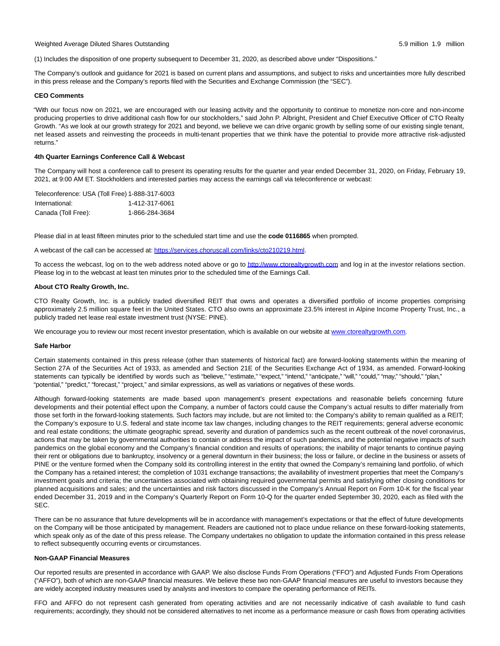Weighted Average Diluted Shares Outstanding 5.9 million 1.9 million

(1) Includes the disposition of one property subsequent to December 31, 2020, as described above under "Dispositions."

The Company's outlook and guidance for 2021 is based on current plans and assumptions, and subject to risks and uncertainties more fully described in this press release and the Company's reports filed with the Securities and Exchange Commission (the "SEC").

## **CEO Comments**

"With our focus now on 2021, we are encouraged with our leasing activity and the opportunity to continue to monetize non-core and non-income producing properties to drive additional cash flow for our stockholders," said John P. Albright, President and Chief Executive Officer of CTO Realty Growth. "As we look at our growth strategy for 2021 and beyond, we believe we can drive organic growth by selling some of our existing single tenant, net leased assets and reinvesting the proceeds in multi-tenant properties that we think have the potential to provide more attractive risk-adjusted returns."

## **4th Quarter Earnings Conference Call & Webcast**

The Company will host a conference call to present its operating results for the quarter and year ended December 31, 2020, on Friday, February 19, 2021, at 9:00 AM ET. Stockholders and interested parties may access the earnings call via teleconference or webcast:

| Teleconference: USA (Toll Free) 1-888-317-6003 |                |
|------------------------------------------------|----------------|
| International:                                 | 1-412-317-6061 |
| Canada (Toll Free):                            | 1-866-284-3684 |

Please dial in at least fifteen minutes prior to the scheduled start time and use the **code 0116865** when prompted.

A webcast of the call can be accessed at[: https://services.choruscall.com/links/cto210219.html.](https://www.globenewswire.com/Tracker?data=VOL5S9dB6yS1tCnIVZLDagEwxTUVCrJTzOxEnNjXYQam_gsh_ghXvSqpX8PAWwyJ6UQqMMcpw_xvD4BAr-b7YHjA_5Culv-srKo94FTguwhA2fbSK1oiylpDJpUCrzt0KzZAGKjcXBYxDfIdxRbU0jGIAU9KVHCdvP2ONtsSPFw=)

To access the webcast, log on to the web address noted above or go t[o http://www.ctorealtygrowth.com a](https://www.globenewswire.com/Tracker?data=0yqbkH39WWrhy34lgWXSPVOVO4xi-iAzTXxyxJmM_1VZPJxWworD4TEr0EFIr8neT5g6NBIthkKQMsmP4nZ26WkHBHn2geJUSFOPszTx7vrpHRbNVA_ViCOka7IdUYLw)nd log in at the investor relations section. Please log in to the webcast at least ten minutes prior to the scheduled time of the Earnings Call.

## **About CTO Realty Growth, Inc.**

CTO Realty Growth, Inc. is a publicly traded diversified REIT that owns and operates a diversified portfolio of income properties comprising approximately 2.5 million square feet in the United States. CTO also owns an approximate 23.5% interest in Alpine Income Property Trust, Inc., a publicly traded net lease real estate investment trust (NYSE: PINE).

We encourage you to review our most recent investor presentation, which is available on our website at [www.ctorealtygrowth.com.](https://www.globenewswire.com/Tracker?data=CU891fm-qiKBzEVAWggVwsmCvuJ3KFGMq1EWRKj1n1yMMujk-K6Pjz_aK8dzlSkF8Ps6LHf7goVmhN6-CKJ9M6ueVb_dFD9H8rt21yyEMfU=)

## **Safe Harbor**

Certain statements contained in this press release (other than statements of historical fact) are forward-looking statements within the meaning of Section 27A of the Securities Act of 1933, as amended and Section 21E of the Securities Exchange Act of 1934, as amended. Forward-looking statements can typically be identified by words such as "believe," "estimate," "expect," "intend," "anticipate," "will," "could," "may," "should," "plan," "potential," "predict," "forecast," "project," and similar expressions, as well as variations or negatives of these words.

Although forward-looking statements are made based upon management's present expectations and reasonable beliefs concerning future developments and their potential effect upon the Company, a number of factors could cause the Company's actual results to differ materially from those set forth in the forward-looking statements. Such factors may include, but are not limited to: the Company's ability to remain qualified as a REIT; the Company's exposure to U.S. federal and state income tax law changes, including changes to the REIT requirements; general adverse economic and real estate conditions; the ultimate geographic spread, severity and duration of pandemics such as the recent outbreak of the novel coronavirus, actions that may be taken by governmental authorities to contain or address the impact of such pandemics, and the potential negative impacts of such pandemics on the global economy and the Company's financial condition and results of operations; the inability of major tenants to continue paying their rent or obligations due to bankruptcy, insolvency or a general downturn in their business; the loss or failure, or decline in the business or assets of PINE or the venture formed when the Company sold its controlling interest in the entity that owned the Company's remaining land portfolio, of which the Company has a retained interest; the completion of 1031 exchange transactions; the availability of investment properties that meet the Company's investment goals and criteria; the uncertainties associated with obtaining required governmental permits and satisfying other closing conditions for planned acquisitions and sales; and the uncertainties and risk factors discussed in the Company's Annual Report on Form 10-K for the fiscal year ended December 31, 2019 and in the Company's Quarterly Report on Form 10-Q for the quarter ended September 30, 2020, each as filed with the SEC.

There can be no assurance that future developments will be in accordance with management's expectations or that the effect of future developments on the Company will be those anticipated by management. Readers are cautioned not to place undue reliance on these forward-looking statements, which speak only as of the date of this press release. The Company undertakes no obligation to update the information contained in this press release to reflect subsequently occurring events or circumstances.

## **Non-GAAP Financial Measures**

Our reported results are presented in accordance with GAAP. We also disclose Funds From Operations ("FFO") and Adjusted Funds From Operations ("AFFO"), both of which are non-GAAP financial measures. We believe these two non-GAAP financial measures are useful to investors because they are widely accepted industry measures used by analysts and investors to compare the operating performance of REITs.

FFO and AFFO do not represent cash generated from operating activities and are not necessarily indicative of cash available to fund cash requirements; accordingly, they should not be considered alternatives to net income as a performance measure or cash flows from operating activities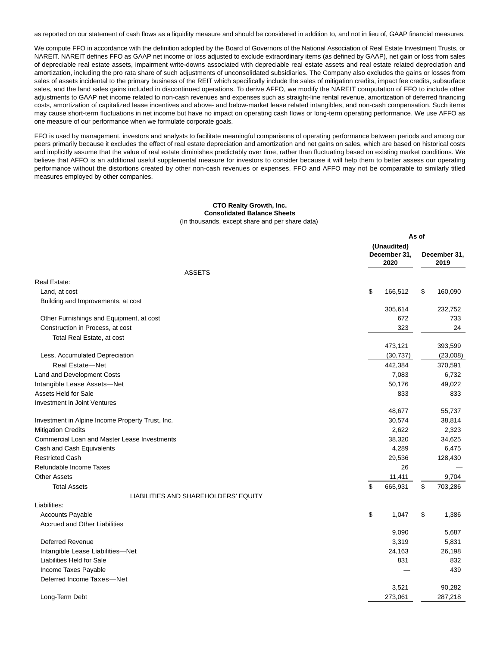as reported on our statement of cash flows as a liquidity measure and should be considered in addition to, and not in lieu of, GAAP financial measures.

We compute FFO in accordance with the definition adopted by the Board of Governors of the National Association of Real Estate Investment Trusts, or NAREIT. NAREIT defines FFO as GAAP net income or loss adjusted to exclude extraordinary items (as defined by GAAP), net gain or loss from sales of depreciable real estate assets, impairment write-downs associated with depreciable real estate assets and real estate related depreciation and amortization, including the pro rata share of such adjustments of unconsolidated subsidiaries. The Company also excludes the gains or losses from sales of assets incidental to the primary business of the REIT which specifically include the sales of mitigation credits, impact fee credits, subsurface sales, and the land sales gains included in discontinued operations. To derive AFFO, we modify the NAREIT computation of FFO to include other adjustments to GAAP net income related to non-cash revenues and expenses such as straight-line rental revenue, amortization of deferred financing costs, amortization of capitalized lease incentives and above- and below-market lease related intangibles, and non-cash compensation. Such items may cause short-term fluctuations in net income but have no impact on operating cash flows or long-term operating performance. We use AFFO as one measure of our performance when we formulate corporate goals.

FFO is used by management, investors and analysts to facilitate meaningful comparisons of operating performance between periods and among our peers primarily because it excludes the effect of real estate depreciation and amortization and net gains on sales, which are based on historical costs and implicitly assume that the value of real estate diminishes predictably over time, rather than fluctuating based on existing market conditions. We believe that AFFO is an additional useful supplemental measure for investors to consider because it will help them to better assess our operating performance without the distortions created by other non-cash revenues or expenses. FFO and AFFO may not be comparable to similarly titled measures employed by other companies.

## **CTO Realty Growth, Inc. Consolidated Balance Sheets** (In thousands, except share and per share data)

|                                                     | As of                               |    |                      |  |  |
|-----------------------------------------------------|-------------------------------------|----|----------------------|--|--|
|                                                     | (Unaudited)<br>December 31,<br>2020 |    | December 31,<br>2019 |  |  |
| <b>ASSETS</b>                                       |                                     |    |                      |  |  |
| Real Estate:                                        |                                     |    |                      |  |  |
| Land, at cost                                       | \$<br>166,512                       | \$ | 160,090              |  |  |
| Building and Improvements, at cost                  |                                     |    |                      |  |  |
|                                                     | 305,614                             |    | 232,752              |  |  |
| Other Furnishings and Equipment, at cost            | 672                                 |    | 733                  |  |  |
| Construction in Process, at cost                    | 323                                 |    | 24                   |  |  |
| Total Real Estate, at cost                          |                                     |    |                      |  |  |
|                                                     | 473,121                             |    | 393,599              |  |  |
| Less, Accumulated Depreciation                      | (30, 737)                           |    | (23,008)             |  |  |
| <b>Real Estate-Net</b>                              | 442,384                             |    | 370,591              |  |  |
| Land and Development Costs                          | 7,083                               |    | 6,732                |  |  |
| Intangible Lease Assets-Net                         | 50,176                              |    | 49,022               |  |  |
| Assets Held for Sale                                | 833                                 |    | 833                  |  |  |
| Investment in Joint Ventures                        |                                     |    |                      |  |  |
|                                                     | 48,677                              |    | 55,737               |  |  |
| Investment in Alpine Income Property Trust, Inc.    | 30,574                              |    | 38,814               |  |  |
| <b>Mitigation Credits</b>                           | 2,622                               |    | 2,323                |  |  |
| <b>Commercial Loan and Master Lease Investments</b> | 38,320                              |    | 34,625               |  |  |
| Cash and Cash Equivalents                           | 4,289                               |    | 6,475                |  |  |
| <b>Restricted Cash</b>                              | 29,536                              |    | 128,430              |  |  |
| Refundable Income Taxes                             | 26                                  |    |                      |  |  |
| <b>Other Assets</b>                                 | 11,411                              |    | 9,704                |  |  |
| <b>Total Assets</b>                                 | \$<br>665,931                       | \$ | 703,286              |  |  |
| LIABILITIES AND SHAREHOLDERS' EQUITY                |                                     |    |                      |  |  |
| Liabilities:                                        |                                     |    |                      |  |  |
| Accounts Payable                                    | \$<br>1,047                         | \$ | 1,386                |  |  |
| <b>Accrued and Other Liabilities</b>                |                                     |    |                      |  |  |
|                                                     | 9,090                               |    | 5,687                |  |  |
| <b>Deferred Revenue</b>                             | 3,319                               |    | 5,831                |  |  |
| Intangible Lease Liabilities-Net                    | 24,163                              |    | 26,198               |  |  |
| Liabilities Held for Sale                           | 831                                 |    | 832                  |  |  |
| Income Taxes Payable                                |                                     |    | 439                  |  |  |
| Deferred Income Taxes-Net                           |                                     |    |                      |  |  |
|                                                     | 3,521                               |    | 90,282               |  |  |
| Long-Term Debt                                      | 273.061                             |    | 287.218              |  |  |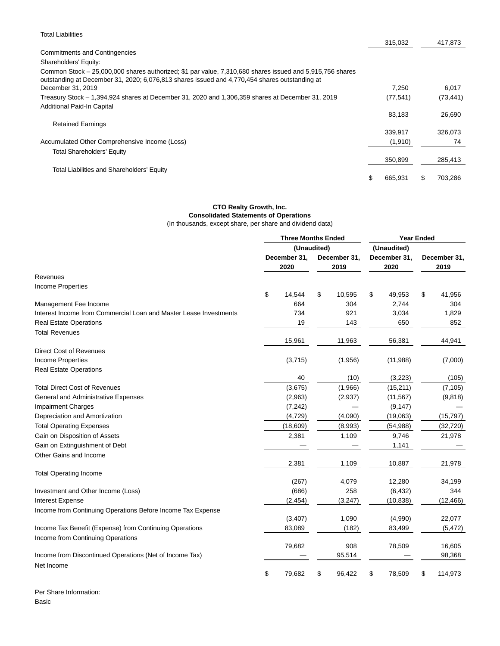| <b>Total Liabilities</b>                                                                                                                                                                                  |               |           |
|-----------------------------------------------------------------------------------------------------------------------------------------------------------------------------------------------------------|---------------|-----------|
|                                                                                                                                                                                                           | 315,032       | 417,873   |
| <b>Commitments and Contingencies</b>                                                                                                                                                                      |               |           |
| Shareholders' Equity:                                                                                                                                                                                     |               |           |
| Common Stock – 25,000,000 shares authorized; \$1 par value, 7,310,680 shares issued and 5,915,756 shares<br>outstanding at December 31, 2020; 6,076,813 shares issued and 4,770,454 shares outstanding at |               |           |
| December 31, 2019                                                                                                                                                                                         | 7.250         | 6,017     |
| Treasury Stock - 1,394,924 shares at December 31, 2020 and 1,306,359 shares at December 31, 2019                                                                                                          | (77, 541)     | (73, 441) |
| Additional Paid-In Capital                                                                                                                                                                                |               |           |
|                                                                                                                                                                                                           | 83,183        | 26,690    |
| <b>Retained Earnings</b>                                                                                                                                                                                  |               |           |
|                                                                                                                                                                                                           | 339.917       | 326.073   |
| Accumulated Other Comprehensive Income (Loss)                                                                                                                                                             | (1, 910)      | 74        |
| <b>Total Shareholders' Equity</b>                                                                                                                                                                         |               |           |
|                                                                                                                                                                                                           | 350,899       | 285,413   |
| Total Liabilities and Shareholders' Equity                                                                                                                                                                |               |           |
|                                                                                                                                                                                                           | \$<br>665,931 | 703,286   |

# **CTO Realty Growth, Inc. Consolidated Statements of Operations**

(In thousands, except share, per share and dividend data)

|                                                                   |    | <b>Three Months Ended</b> |    |              |                      | <b>Year Ended</b> |      |              |  |  |
|-------------------------------------------------------------------|----|---------------------------|----|--------------|----------------------|-------------------|------|--------------|--|--|
|                                                                   |    | (Unaudited)               |    |              |                      | (Unaudited)       |      |              |  |  |
|                                                                   |    | December 31,              |    | December 31, | December 31,<br>2020 |                   |      | December 31, |  |  |
|                                                                   |    | 2020                      |    | 2019         |                      |                   | 2019 |              |  |  |
| Revenues                                                          |    |                           |    |              |                      |                   |      |              |  |  |
| <b>Income Properties</b>                                          |    |                           |    |              |                      |                   |      |              |  |  |
|                                                                   | \$ | 14,544                    | \$ | 10,595       | \$                   | 49,953            | \$   | 41,956       |  |  |
| Management Fee Income                                             |    | 664                       |    | 304          |                      | 2,744             |      | 304          |  |  |
| Interest Income from Commercial Loan and Master Lease Investments |    | 734                       |    | 921          |                      | 3,034             |      | 1,829        |  |  |
| <b>Real Estate Operations</b>                                     |    | 19                        |    | 143          |                      | 650               |      | 852          |  |  |
| <b>Total Revenues</b>                                             |    |                           |    |              |                      |                   |      |              |  |  |
|                                                                   |    | 15,961                    |    | 11,963       |                      | 56,381            |      | 44,941       |  |  |
| Direct Cost of Revenues                                           |    |                           |    |              |                      |                   |      |              |  |  |
| Income Properties                                                 |    | (3,715)                   |    | (1,956)      |                      | (11,988)          |      | (7,000)      |  |  |
| <b>Real Estate Operations</b>                                     |    |                           |    |              |                      |                   |      |              |  |  |
|                                                                   |    | 40                        |    | (10)         |                      | (3,223)           |      | (105)        |  |  |
| <b>Total Direct Cost of Revenues</b>                              |    | (3,675)                   |    | (1,966)      |                      | (15, 211)         |      | (7, 105)     |  |  |
| General and Administrative Expenses                               |    | (2,963)                   |    | (2,937)      |                      | (11, 567)         |      | (9,818)      |  |  |
| <b>Impairment Charges</b>                                         |    | (7, 242)                  |    |              |                      | (9, 147)          |      |              |  |  |
| Depreciation and Amortization                                     |    | (4, 729)                  |    | (4,090)      |                      | (19,063)          |      | (15, 797)    |  |  |
| <b>Total Operating Expenses</b>                                   |    | (18,609)                  |    | (8,993)      |                      | (54, 988)         |      | (32, 720)    |  |  |
| Gain on Disposition of Assets                                     |    | 2,381                     |    | 1,109        |                      | 9,746             |      | 21,978       |  |  |
| Gain on Extinguishment of Debt                                    |    |                           |    |              |                      | 1,141             |      |              |  |  |
| Other Gains and Income                                            |    |                           |    |              |                      |                   |      |              |  |  |
|                                                                   |    | 2,381                     |    | 1,109        |                      | 10,887            |      | 21,978       |  |  |
| <b>Total Operating Income</b>                                     |    |                           |    |              |                      |                   |      |              |  |  |
|                                                                   |    | (267)                     |    | 4,079        |                      | 12,280            |      | 34,199       |  |  |
| Investment and Other Income (Loss)                                |    | (686)                     |    | 258          |                      | (6, 432)          |      | 344          |  |  |
| Interest Expense                                                  |    | (2, 454)                  |    | (3,247)      |                      | (10, 838)         |      | (12, 466)    |  |  |
| Income from Continuing Operations Before Income Tax Expense       |    |                           |    |              |                      |                   |      |              |  |  |
|                                                                   |    | (3, 407)                  |    | 1,090        |                      | (4,990)           |      | 22,077       |  |  |
| Income Tax Benefit (Expense) from Continuing Operations           |    | 83,089                    |    | (182)        |                      | 83,499            |      | (5, 472)     |  |  |
| Income from Continuing Operations                                 |    |                           |    |              |                      |                   |      |              |  |  |
|                                                                   |    | 79,682                    |    | 908          |                      | 78,509            |      | 16,605       |  |  |
| Income from Discontinued Operations (Net of Income Tax)           |    |                           |    | 95,514       |                      |                   |      | 98,368       |  |  |
| Net Income                                                        |    |                           |    |              |                      |                   |      |              |  |  |
|                                                                   | \$ | 79,682                    | \$ | 96,422       | \$                   | 78,509            | \$   | 114,973      |  |  |

Per Share Information: Basic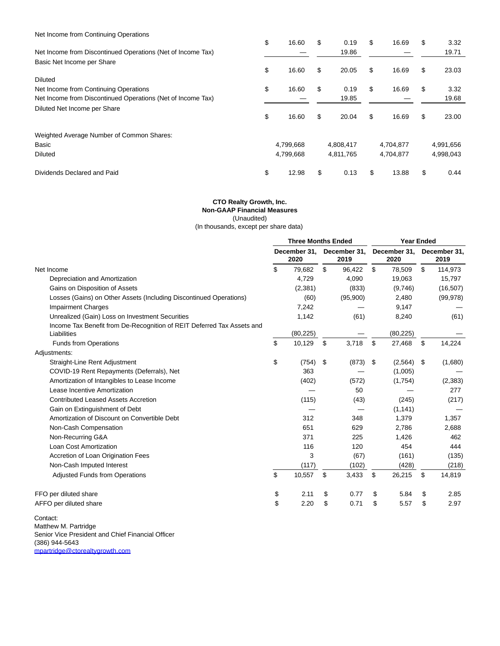| Net Income from Continuing Operations |  |
|---------------------------------------|--|
|---------------------------------------|--|

|                                                             | \$<br>16.60 | \$<br>0.19  | \$<br>16.69 | \$<br>3.32  |
|-------------------------------------------------------------|-------------|-------------|-------------|-------------|
| Net Income from Discontinued Operations (Net of Income Tax) |             | 19.86       |             | 19.71       |
| Basic Net Income per Share                                  |             |             |             |             |
|                                                             | \$<br>16.60 | \$<br>20.05 | \$<br>16.69 | \$<br>23.03 |
| <b>Diluted</b>                                              |             |             |             |             |
| Net Income from Continuing Operations                       | \$<br>16.60 | \$<br>0.19  | \$<br>16.69 | \$<br>3.32  |
| Net Income from Discontinued Operations (Net of Income Tax) |             | 19.85       |             | 19.68       |
| Diluted Net Income per Share                                |             |             |             |             |
|                                                             | \$<br>16.60 | \$<br>20.04 | \$<br>16.69 | \$<br>23.00 |
| Weighted Average Number of Common Shares:                   |             |             |             |             |
| Basic                                                       | 4,799,668   | 4,808,417   | 4,704,877   | 4,991,656   |
| <b>Diluted</b>                                              | 4,799,668   | 4,811,765   | 4,704,877   | 4,998,043   |
| Dividends Declared and Paid                                 | \$<br>12.98 | \$<br>0.13  | \$<br>13.88 | \$<br>0.44  |

# **CTO Realty Growth, Inc. Non-GAAP Financial Measures** (Unaudited)

(In thousands, except per share data)

|                                                                                       | <b>Three Months Ended</b> |                                              |    | <b>Year Ended</b>    |    |                      |    |           |
|---------------------------------------------------------------------------------------|---------------------------|----------------------------------------------|----|----------------------|----|----------------------|----|-----------|
|                                                                                       |                           | December 31,<br>December 31,<br>2020<br>2019 |    | December 31,<br>2020 |    | December 31,<br>2019 |    |           |
| Net Income                                                                            | \$                        | 79,682                                       | \$ | 96,422               | \$ | 78,509               | \$ | 114,973   |
| Depreciation and Amortization                                                         |                           | 4,729                                        |    | 4.090                |    | 19,063               |    | 15,797    |
| Gains on Disposition of Assets                                                        |                           | (2, 381)                                     |    | (833)                |    | (9,746)              |    | (16, 507) |
| Losses (Gains) on Other Assets (Including Discontinued Operations)                    |                           | (60)                                         |    | (95,900)             |    | 2,480                |    | (99, 978) |
| <b>Impairment Charges</b>                                                             |                           | 7,242                                        |    |                      |    | 9,147                |    |           |
| Unrealized (Gain) Loss on Investment Securities                                       |                           | 1,142                                        |    | (61)                 |    | 8,240                |    | (61)      |
| Income Tax Benefit from De-Recognition of REIT Deferred Tax Assets and<br>Liabilities |                           | (80, 225)                                    |    |                      |    | (80, 225)            |    |           |
| <b>Funds from Operations</b>                                                          | \$                        | 10,129                                       | \$ | 3,718                | \$ | 27,468               | \$ | 14,224    |
| Adjustments:                                                                          |                           |                                              |    |                      |    |                      |    |           |
| Straight-Line Rent Adjustment                                                         | \$                        | (754)                                        | \$ | (873)                | \$ | (2, 564)             | \$ | (1,680)   |
| COVID-19 Rent Repayments (Deferrals), Net                                             |                           | 363                                          |    |                      |    | (1,005)              |    |           |
| Amortization of Intangibles to Lease Income                                           |                           | (402)                                        |    | (572)                |    | (1,754)              |    | (2,383)   |
| Lease Incentive Amortization                                                          |                           |                                              |    | 50                   |    |                      |    | 277       |
| <b>Contributed Leased Assets Accretion</b>                                            |                           | (115)                                        |    | (43)                 |    | (245)                |    | (217)     |
| Gain on Extinguishment of Debt                                                        |                           |                                              |    |                      |    | (1, 141)             |    |           |
| Amortization of Discount on Convertible Debt                                          |                           | 312                                          |    | 348                  |    | 1,379                |    | 1,357     |
| Non-Cash Compensation                                                                 |                           | 651                                          |    | 629                  |    | 2,786                |    | 2,688     |
| Non-Recurring G&A                                                                     |                           | 371                                          |    | 225                  |    | 1,426                |    | 462       |
| Loan Cost Amortization                                                                |                           | 116                                          |    | 120                  |    | 454                  |    | 444       |
| Accretion of Loan Origination Fees                                                    |                           | 3                                            |    | (67)                 |    | (161)                |    | (135)     |
| Non-Cash Imputed Interest                                                             |                           | (117)                                        |    | (102)                |    | (428)                |    | (218)     |
| <b>Adjusted Funds from Operations</b>                                                 | \$                        | 10,557                                       | \$ | 3,433                | \$ | 26,215               | \$ | 14,819    |
| FFO per diluted share                                                                 | \$                        | 2.11                                         | \$ | 0.77                 | \$ | 5.84                 | \$ | 2.85      |
| AFFO per diluted share                                                                | \$                        | 2.20                                         | \$ | 0.71                 | \$ | 5.57                 | \$ | 2.97      |

Contact: Matthew M. Partridge Senior Vice President and Chief Financial Officer (386) 944-5643 [mpartridge@ctorealtygrowth.com](https://www.globenewswire.com/Tracker?data=vsXo1mlk9fnoH8Bzrar1GqCkEwMvzzW3FA3AzpgiSU1aY-l3JwIiVTby2VIxfHKk5DruYK9h3bRewax_ohfp2tUc40Q8wjJD0D8xw7Ll5h3VEMMXbz__PM8I1jWaXqz8)